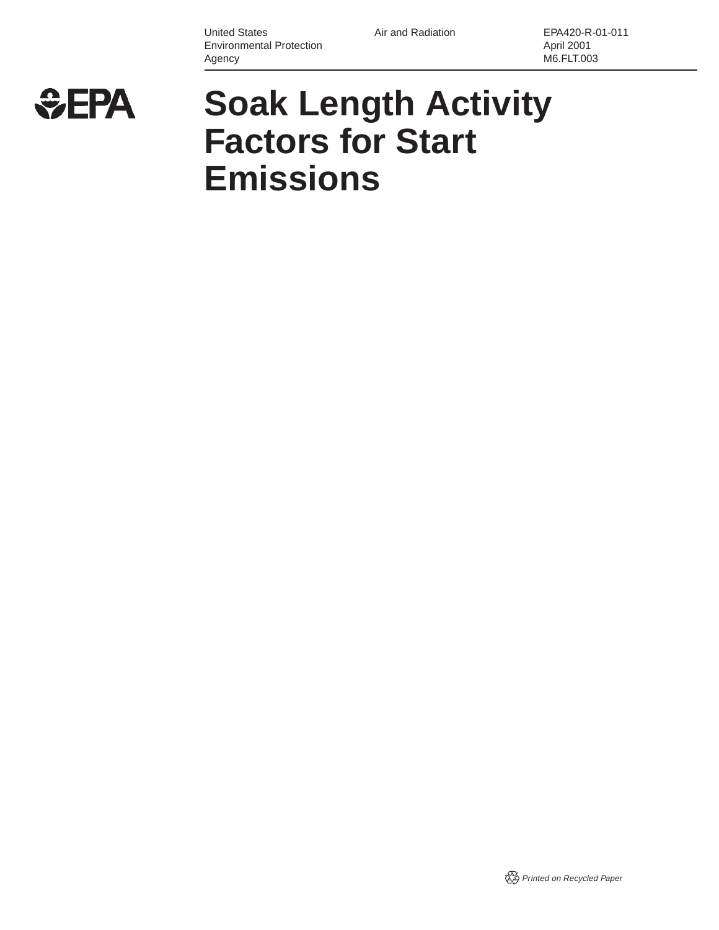United States **Air and Radiation** EPA420-R-01-011 Environmental Protection **April 2001** Agency M6.FLT.003



# **Soak Length Activity Factors for Start Emissions**

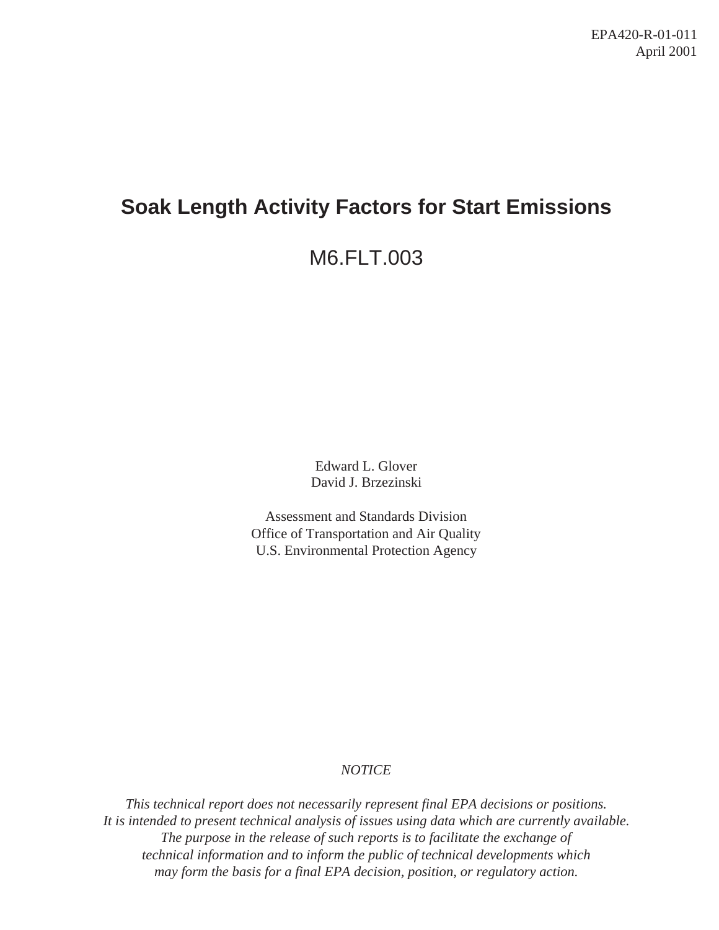# **Soak Length Activity Factors for Start Emissions**

# M6.FLT.003

Edward L. Glover David J. Brzezinski

Assessment and Standards Division Office of Transportation and Air Quality U.S. Environmental Protection Agency

# *NOTICE*

*This technical report does not necessarily represent final EPA decisions or positions. It is intended to present technical analysis of issues using data which are currently available.* The purpose in the release of such reports is to facilitate the exchange of *technical information and to inform the public of technical developments which may form the basis for a final EPA decision, position, or regulatory action.*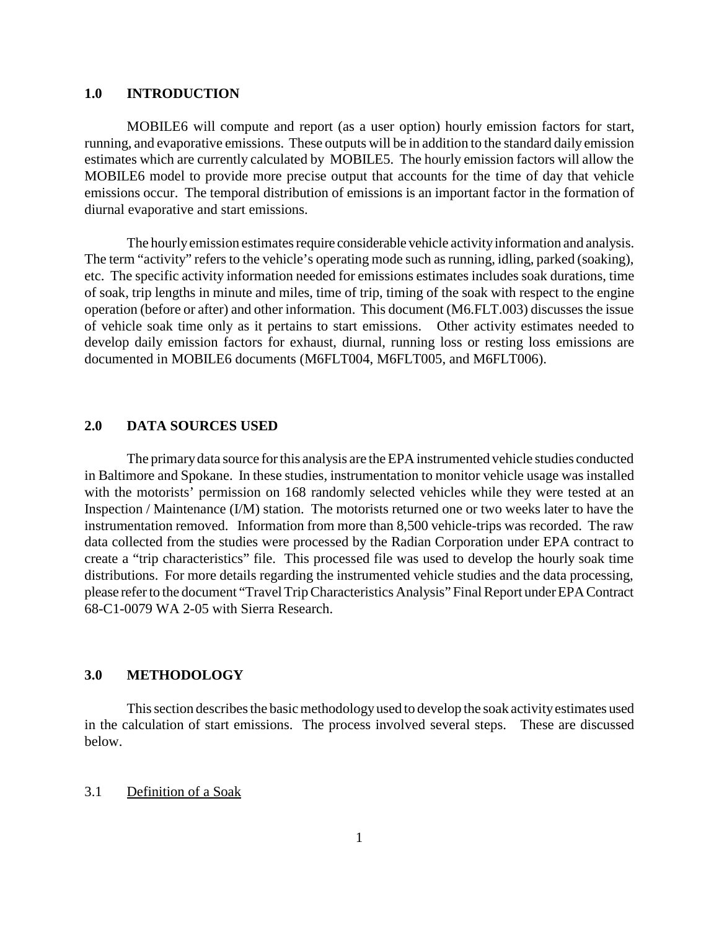#### <span id="page-2-0"></span>**1.0 INTRODUCTION**

MOBILE6 will compute and report (as a user option) hourly emission factors for start, running, and evaporative emissions. These outputs will be in addition to the standard daily emission estimates which are currently calculated by MOBILE5. The hourly emission factors will allow the MOBILE6 model to provide more precise output that accounts for the time of day that vehicle emissions occur. The temporal distribution of emissions is an important factor in the formation of diurnal evaporative and start emissions.

The hourly emission estimates require considerable vehicle activity information and analysis. The term "activity" refers to the vehicle's operating mode such as running, idling, parked (soaking), etc. The specific activity information needed for emissions estimates includes soak durations, time of soak, trip lengths in minute and miles, time of trip, timing of the soak with respect to the engine operation (before or after) and other information. This document (M6.FLT.003) discusses the issue of vehicle soak time only as it pertains to start emissions. Other activity estimates needed to develop daily emission factors for exhaust, diurnal, running loss or resting loss emissions are documented in MOBILE6 documents (M6FLT004, M6FLT005, and M6FLT006).

## **2.0 DATA SOURCES USED**

The primary data source for this analysis are the EPA instrumented vehicle studies conducted in Baltimore and Spokane. In these studies, instrumentation to monitor vehicle usage was installed with the motorists' permission on 168 randomly selected vehicles while they were tested at an Inspection / Maintenance (I/M) station. The motorists returned one or two weeks later to have the instrumentation removed. Information from more than 8,500 vehicle-trips was recorded. The raw data collected from the studies were processed by the Radian Corporation under EPA contract to create a "trip characteristics" file. This processed file was used to develop the hourly soak time distributions. For more details regarding the instrumented vehicle studies and the data processing, please refer to the document "Travel Trip Characteristics Analysis" Final Report under EPA Contract 68-C1-0079 WA 2-05 with Sierra Research.

# **3.0 METHODOLOGY**

This section describes the basic methodology used to develop the soak activity estimates used in the calculation of start emissions. The process involved several steps. These are discussed below.

#### 3.1 Definition of a Soak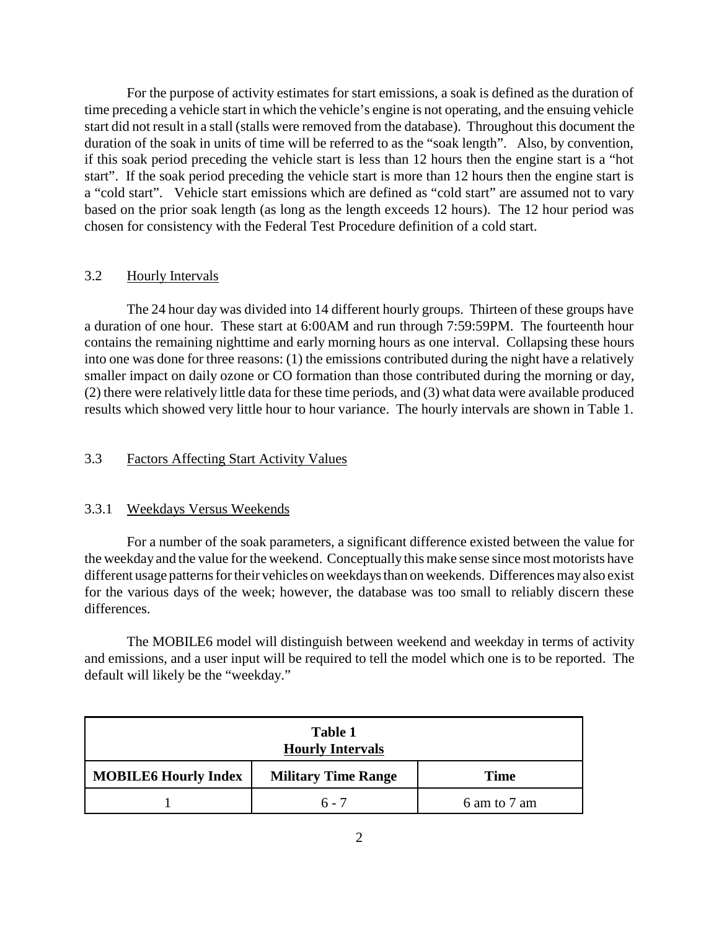a "cold start". Vehicle start emissions which are defined as "cold start" are assumed not to vary For the purpose of activity estimates for start emissions, a soak is defined as the duration of time preceding a vehicle start in which the vehicle's engine is not operating, and the ensuing vehicle start did not result in a stall (stalls were removed from the database). Throughout this document the duration of the soak in units of time will be referred to as the "soak length". Also, by convention, if this soak period preceding the vehicle start is less than 12 hours then the engine start is a "hot start". If the soak period preceding the vehicle start is more than 12 hours then the engine start is based on the prior soak length (as long as the length exceeds 12 hours). The 12 hour period was chosen for consistency with the Federal Test Procedure definition of a cold start.

#### 3.2 Hourly Intervals

 a duration of one hour. These start at 6:00AM and run through 7:59:59PM. The fourteenth hour The 24 hour day was divided into 14 different hourly groups. Thirteen of these groups have contains the remaining nighttime and early morning hours as one interval. Collapsing these hours into one was done for three reasons: (1) the emissions contributed during the night have a relatively smaller impact on daily ozone or CO formation than those contributed during the morning or day, (2) there were relatively little data for these time periods, and (3) what data were available produced results which showed very little hour to hour variance. The hourly intervals are shown in Table 1.

# 3.3 Factors Affecting Start Activity Values

#### 3.3.1 Weekdays Versus Weekends

For a number of the soak parameters, a significant difference existed between the value for the weekday and the value for the weekend. Conceptually this make sense since most motorists have different usage patterns for their vehicles on weekdays than on weekends. Differences may also exist for the various days of the week; however, the database was too small to reliably discern these differences.

The MOBILE6 model will distinguish between weekend and weekday in terms of activity and emissions, and a user input will be required to tell the model which one is to be reported. The default will likely be the "weekday."

| Table 1<br><b>Hourly Intervals</b>                                       |         |              |  |  |  |  |
|--------------------------------------------------------------------------|---------|--------------|--|--|--|--|
| <b>MOBILE6 Hourly Index</b><br><b>Military Time Range</b><br><b>Time</b> |         |              |  |  |  |  |
|                                                                          | $6 - 7$ | 6 am to 7 am |  |  |  |  |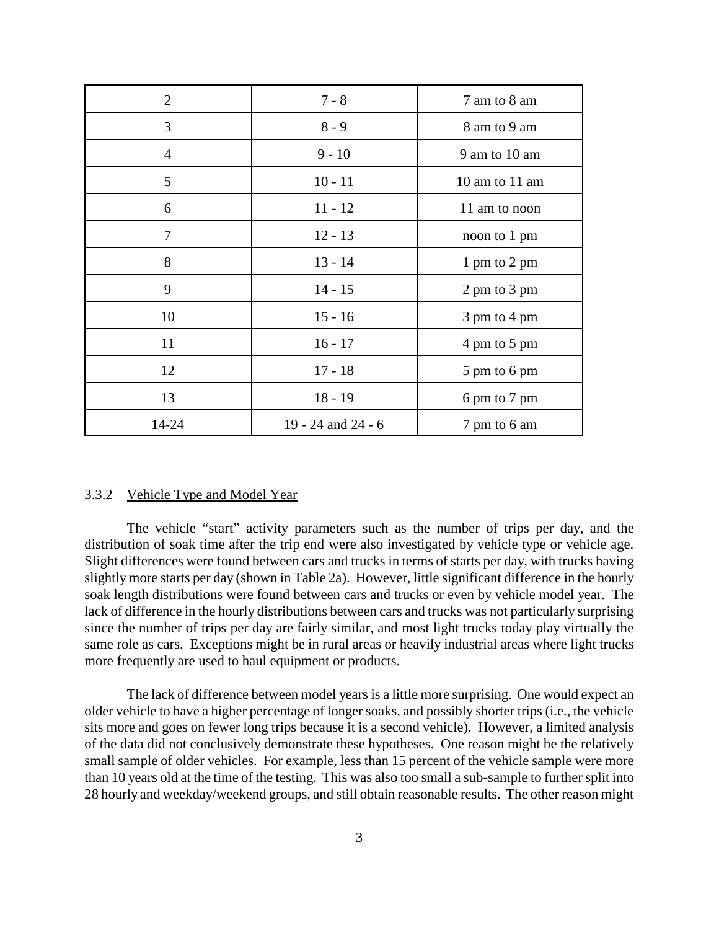| $\overline{2}$ | $7 - 8$            | 7 am to 8 am   |  |  |
|----------------|--------------------|----------------|--|--|
| 3              | $8 - 9$            | 8 am to 9 am   |  |  |
| 4              | $9 - 10$           | 9 am to 10 am  |  |  |
| 5              | $10 - 11$          | 10 am to 11 am |  |  |
| 6              | $11 - 12$          | 11 am to noon  |  |  |
| 7              | $12 - 13$          | noon to 1 pm   |  |  |
| 8              | $13 - 14$          | 1 pm to 2 pm   |  |  |
| 9              | $14 - 15$          | 2 pm to 3 pm   |  |  |
| 10             | $15 - 16$          | 3 pm to 4 pm   |  |  |
| 11             | $16 - 17$          | 4 pm to 5 pm   |  |  |
| 12             | $17 - 18$          | 5 pm to 6 pm   |  |  |
| 13             | $18 - 19$          | 6 pm to 7 pm   |  |  |
| 14-24          | 19 - 24 and 24 - 6 | 7 pm to 6 am   |  |  |

#### 3.3.2 Vehicle Type and Model Year

The vehicle "start" activity parameters such as the number of trips per day, and the distribution of soak time after the trip end were also investigated by vehicle type or vehicle age. Slight differences were found between cars and trucks in terms of starts per day, with trucks having slightly more starts per day (shown in Table 2a). However, little significant difference in the hourly soak length distributions were found between cars and trucks or even by vehicle model year. The lack of difference in the hourly distributions between cars and trucks was not particularly surprising since the number of trips per day are fairly similar, and most light trucks today play virtually the same role as cars. Exceptions might be in rural areas or heavily industrial areas where light trucks more frequently are used to haul equipment or products.

 than 10 years old at the time of the testing. This was also too small a sub-sample to further split into The lack of difference between model years is a little more surprising. One would expect an older vehicle to have a higher percentage of longer soaks, and possibly shorter trips (i.e., the vehicle sits more and goes on fewer long trips because it is a second vehicle). However, a limited analysis of the data did not conclusively demonstrate these hypotheses. One reason might be the relatively small sample of older vehicles. For example, less than 15 percent of the vehicle sample were more 28 hourly and weekday/weekend groups, and still obtain reasonable results. The other reason might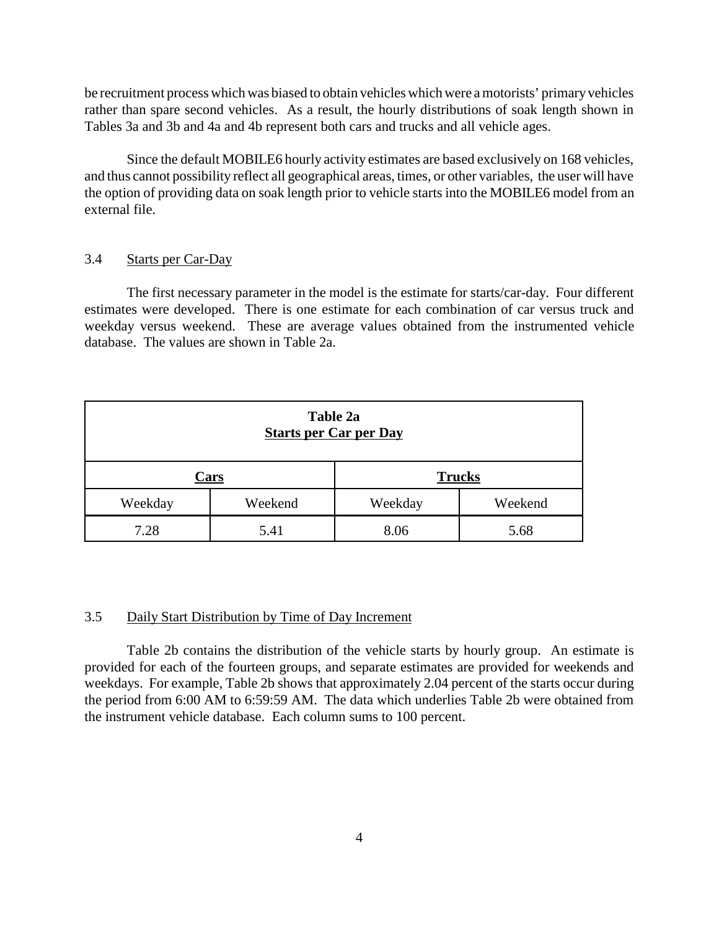be recruitment process which was biased to obtain vehicles which were a motorists' primary vehicles rather than spare second vehicles. As a result, the hourly distributions of soak length shown in Tables 3a and 3b and 4a and 4b represent both cars and trucks and all vehicle ages.

Since the default MOBILE6 hourly activity estimates are based exclusively on 168 vehicles, and thus cannot possibility reflect all geographical areas, times, or other variables, the user will have the option of providing data on soak length prior to vehicle starts into the MOBILE6 model from an external file.

# 3.4 Starts per Car-Day

 estimates were developed. There is one estimate for each combination of car versus truck and The first necessary parameter in the model is the estimate for starts/car-day. Four different weekday versus weekend. These are average values obtained from the instrumented vehicle database. The values are shown in Table 2a.

| Table 2a<br><b>Starts per Car per Day</b> |  |         |         |  |  |
|-------------------------------------------|--|---------|---------|--|--|
| <b>Trucks</b><br>Cars                     |  |         |         |  |  |
| Weekend<br>Weekday                        |  | Weekday | Weekend |  |  |
| 7.28<br>5.41<br>8.06<br>5.68              |  |         |         |  |  |

#### 3.5 Daily Start Distribution by Time of Day Increment

Table 2b contains the distribution of the vehicle starts by hourly group. An estimate is provided for each of the fourteen groups, and separate estimates are provided for weekends and weekdays. For example, Table 2b shows that approximately 2.04 percent of the starts occur during the period from 6:00 AM to 6:59:59 AM. The data which underlies Table 2b were obtained from the instrument vehicle database. Each column sums to 100 percent.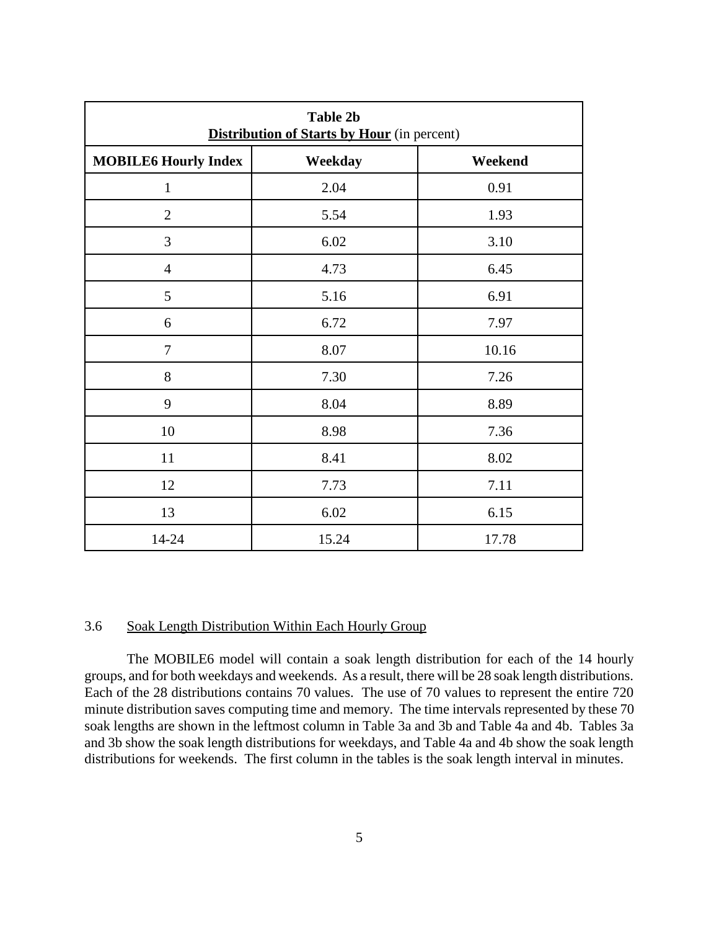| <b>Table 2b</b><br><b>Distribution of Starts by Hour</b> (in percent) |       |       |  |  |  |  |  |
|-----------------------------------------------------------------------|-------|-------|--|--|--|--|--|
| <b>MOBILE6 Hourly Index</b><br>Weekday<br>Weekend                     |       |       |  |  |  |  |  |
| $\mathbf{1}$                                                          | 2.04  | 0.91  |  |  |  |  |  |
| $\overline{2}$                                                        | 5.54  | 1.93  |  |  |  |  |  |
| 3                                                                     | 6.02  | 3.10  |  |  |  |  |  |
| $\overline{4}$                                                        | 4.73  | 6.45  |  |  |  |  |  |
| 5                                                                     | 5.16  | 6.91  |  |  |  |  |  |
| 6                                                                     | 6.72  | 7.97  |  |  |  |  |  |
| $\tau$                                                                | 8.07  | 10.16 |  |  |  |  |  |
| 8                                                                     | 7.30  | 7.26  |  |  |  |  |  |
| 9                                                                     | 8.04  | 8.89  |  |  |  |  |  |
| 10                                                                    | 8.98  | 7.36  |  |  |  |  |  |
| 11                                                                    | 8.41  | 8.02  |  |  |  |  |  |
| 12                                                                    | 7.73  | 7.11  |  |  |  |  |  |
| 13                                                                    | 6.02  | 6.15  |  |  |  |  |  |
| 14-24                                                                 | 15.24 | 17.78 |  |  |  |  |  |

### 3.6 Soak Length Distribution Within Each Hourly Group

 minute distribution saves computing time and memory. The time intervals represented by these 70 The MOBILE6 model will contain a soak length distribution for each of the 14 hourly groups, and for both weekdays and weekends. As a result, there will be 28 soak length distributions. Each of the 28 distributions contains 70 values. The use of 70 values to represent the entire 720 soak lengths are shown in the leftmost column in Table 3a and 3b and Table 4a and 4b. Tables 3a and 3b show the soak length distributions for weekdays, and Table 4a and 4b show the soak length distributions for weekends. The first column in the tables is the soak length interval in minutes.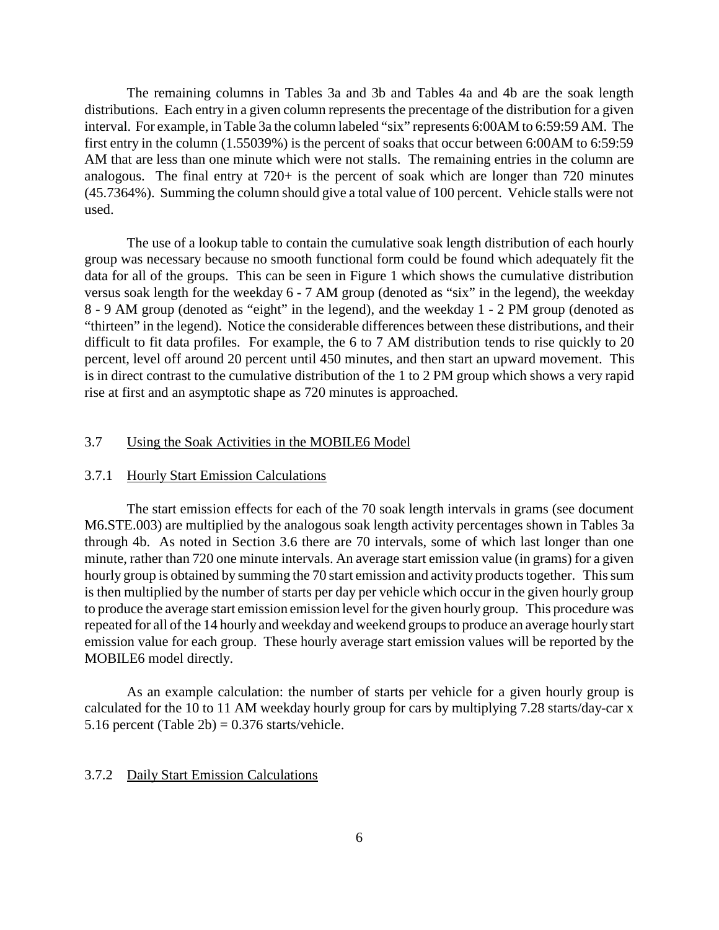distributions. Each entry in a given column represents the precentage of the distribution for a given The remaining columns in Tables 3a and 3b and Tables 4a and 4b are the soak length interval. For example, in Table 3a the column labeled "six" represents 6:00AM to 6:59:59 AM. The first entry in the column (1.55039%) is the percent of soaks that occur between 6:00AM to 6:59:59 AM that are less than one minute which were not stalls. The remaining entries in the column are analogous. The final entry at 720+ is the percent of soak which are longer than 720 minutes (45.7364%). Summing the column should give a total value of 100 percent. Vehicle stalls were not used.

 group was necessary because no smooth functional form could be found which adequately fit the data for all of the groups. This can be seen in Figure 1 which shows the cumulative distribution 8 - 9 AM group (denoted as "eight" in the legend), and the weekday 1 - 2 PM group (denoted as The use of a lookup table to contain the cumulative soak length distribution of each hourly versus soak length for the weekday 6 - 7 AM group (denoted as "six" in the legend), the weekday "thirteen" in the legend). Notice the considerable differences between these distributions, and their difficult to fit data profiles. For example, the 6 to 7 AM distribution tends to rise quickly to 20 percent, level off around 20 percent until 450 minutes, and then start an upward movement. This is in direct contrast to the cumulative distribution of the 1 to 2 PM group which shows a very rapid rise at first and an asymptotic shape as 720 minutes is approached.

### 3.7 Using the Soak Activities in the MOBILE6 Model

#### 3.7.1 Hourly Start Emission Calculations

 through 4b. As noted in Section 3.6 there are 70 intervals, some of which last longer than one The start emission effects for each of the 70 soak length intervals in grams (see document M6.STE.003) are multiplied by the analogous soak length activity percentages shown in Tables 3a minute, rather than 720 one minute intervals. An average start emission value (in grams) for a given hourly group is obtained by summing the 70 start emission and activity products together. This sum is then multiplied by the number of starts per day per vehicle which occur in the given hourly group to produce the average start emission emission level for the given hourly group. This procedure was repeated for all of the 14 hourly and weekday and weekend groups to produce an average hourly start emission value for each group. These hourly average start emission values will be reported by the MOBILE6 model directly.

 As an example calculation: the number of starts per vehicle for a given hourly group is calculated for the 10 to 11 AM weekday hourly group for cars by multiplying 7.28 starts/day-car x 5.16 percent (Table 2b) =  $0.376$  starts/vehicle.

#### 3.7.2 Daily Start Emission Calculations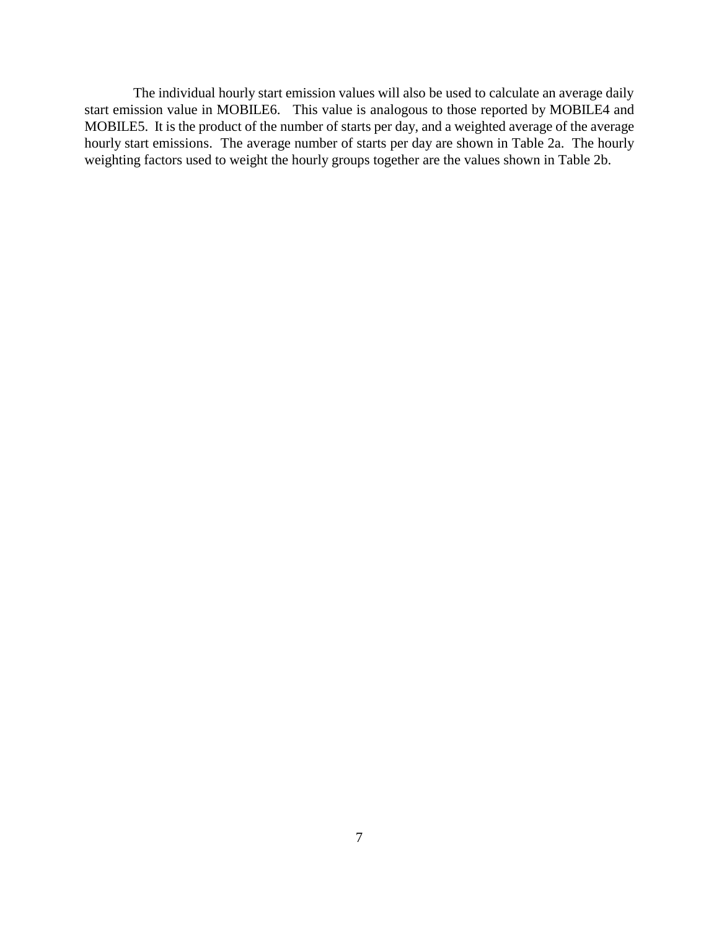hourly start emissions. The average number of starts per day are shown in Table 2a. The hourly The individual hourly start emission values will also be used to calculate an average daily start emission value in MOBILE6. This value is analogous to those reported by MOBILE4 and MOBILE5. It is the product of the number of starts per day, and a weighted average of the average weighting factors used to weight the hourly groups together are the values shown in Table 2b.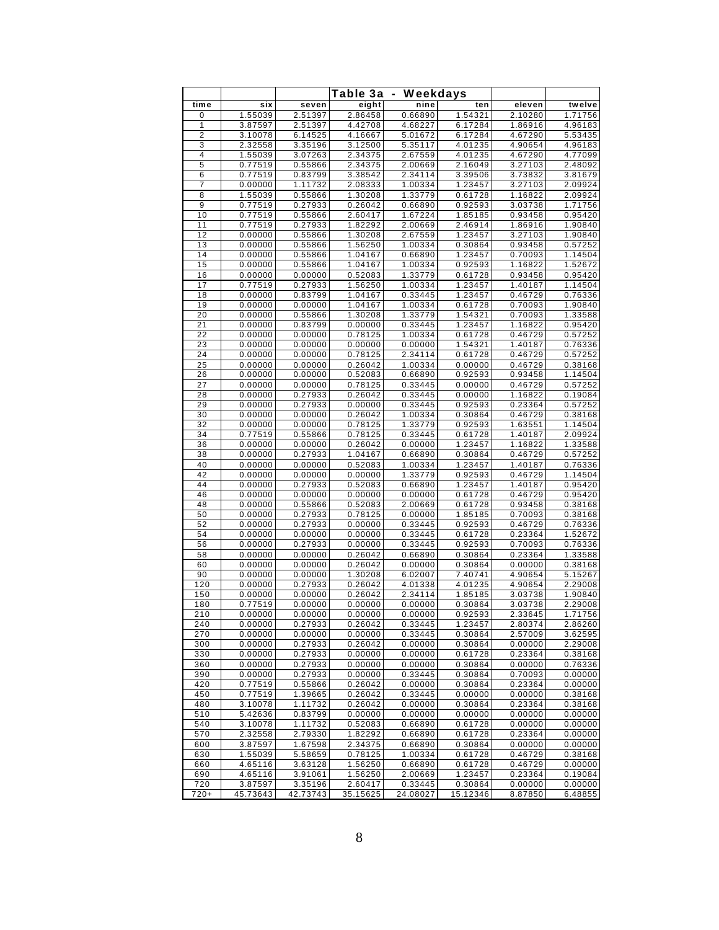|                 |                    |                    | Table 3a           |                    |                    |                    |                    |
|-----------------|--------------------|--------------------|--------------------|--------------------|--------------------|--------------------|--------------------|
| time            | six                | seven              | eight              | Weekdays<br>nine   | ten                | eleven             | twelve             |
| 0               | 1.55039            | 2.51397            | 2.86458            | 0.66890            | 1.54321            | 2.10280            | 1.71756            |
| 1               | 3.87597            | 2.51397            | 4.42708            | 4.68227            | 6.17284            | 1.86916            | 4.96183            |
| 2               | 3.10078            | 6.14525            | 4.16667            | 5.01672            | 6.17284            | 4.67290            | 5.53435            |
| 3               | 2.32558            | 3.35196            | 3.12500            | 5.35117            | 4.01235            | 4.90654            | 4.96183            |
| 4               | 1.55039            | 3.07263            | 2.34375            | 2.67559            | 4.01235            | 4.67290            | 4.77099            |
| 5               | 0.77519            | 0.55866            | 2.34375            | 2.00669            | 2.16049            | 3.27103            | 2.48092            |
| 6               | 0.77519            | 0.83799            | 3.38542            | 2.34114            | 3.39506            | 3.73832            | 3.81679            |
| 7               | 0.00000            | 1.11732            | 2.08333            | 1.00334            | 1.23457            | 3.27103            | 2.09924            |
| 8<br>9          | 1.55039            | 0.55866            | 1.30208            | 1.33779            | 0.61728            | 1.16822            | 2.09924<br>1.71756 |
| 10              | 0.77519<br>0.77519 | 0.27933<br>0.55866 | 0.26042<br>2.60417 | 0.66890<br>1.67224 | 0.92593<br>1.85185 | 3.03738<br>0.93458 | 0.95420            |
| 11              | 0.77519            | 0.27933            | 1.82292            | 2.00669            | 2.46914            | 1.86916            | 1.90840            |
| 12              | 0.00000            | 0.55866            | 1.30208            | 2.67559            | 1.23457            | 3.27103            | 1.90840            |
| 13              | 0.00000            | 0.55866            | 1.56250            | 1.00334            | 0.30864            | 0.93458            | 0.57252            |
| 14              | 0.00000            | 0.55866            | 1.04167            | 0.66890            | 1.23457            | 0.70093            | 1.14504            |
| 15              | 0.00000            | 0.55866            | 1.04167            | 1.00334            | 0.92593            | 1.16822            | 1.52672            |
| 16              | 0.00000            | 0.00000            | 0.52083            | 1.33779            | 0.61728            | 0.93458            | 0.95420            |
| 17              | 0.77519            | 0.27933            | 1.56250            | 1.00334            | 1.23457            | 1.40187            | 1.14504            |
| 18              | 0.00000            | 0.83799            | 1.04167            | 0.33445            | 1.23457            | 0.46729            | 0.76336            |
| 19              | 0.00000            | 0.00000            | 1.04167            | 1.00334            | 0.61728            | 0.70093            | 1.90840            |
| 20              | 0.00000            | 0.55866            | 1.30208            | 1.33779            | 1.54321            | 0.70093            | 1.33588            |
| 21              | 0.00000            | 0.83799            | 0.00000            | 0.33445            | 1.23457            | 1.16822            | 0.95420            |
| $\overline{22}$ | 0.00000            | 0.00000            | 0.78125            | 1.00334            | 0.61728            | 0.46729            | 0.57252            |
| 23              | 0.00000            | 0.00000            | 0.00000            | 0.00000            | 1.54321            | 1.40187            | 0.76336            |
| 24              | 0.00000            | 0.00000            | 0.78125            | 2.34114            | 0.61728            | 0.46729            | 0.57252            |
| 25              | 0.00000            | 0.00000            | 0.26042            | 1.00334            | 0.00000            | 0.46729            | 0.38168            |
| 26              | 0.00000            | 0.00000            | 0.52083            | 0.66890            | 0.92593            | 0.93458            | 1.14504            |
| 27              | 0.00000            | 0.00000            | 0.78125            | 0.33445            | 0.00000            | 0.46729            | 0.57252            |
| 28              | 0.00000            | 0.27933            | 0.26042            | 0.33445            | 0.00000            | 1.16822            | 0.19084            |
| 29              | 0.00000            | 0.27933            | 0.00000            | 0.33445            | 0.92593            | 0.23364            | 0.57252            |
| 30<br>32        | 0.00000            | 0.00000            | 0.26042            | 1.00334            | 0.30864            | 0.46729            | 0.38168            |
| 34              | 0.00000<br>0.77519 | 0.00000<br>0.55866 | 0.78125<br>0.78125 | 1.33779<br>0.33445 | 0.92593<br>0.61728 | 1.63551<br>1.40187 | 1.14504<br>2.09924 |
| 36              | 0.00000            | 0.00000            | 0.26042            | 0.00000            | 1.23457            | 1.16822            | 1.33588            |
| 38              | 0.00000            | 0.27933            | 1.04167            | 0.66890            | 0.30864            | 0.46729            | 0.57252            |
| 40              | 0.00000            | 0.00000            | 0.52083            | 1.00334            | 1.23457            | 1.40187            | 0.76336            |
| 42              | 0.00000            | 0.00000            | 0.00000            | 1.33779            | 0.92593            | 0.46729            | 1.14504            |
| 44              | 0.00000            | 0.27933            | 0.52083            | 0.66890            | 1.23457            | 1.40187            | 0.95420            |
| 46              | 0.00000            | 0.00000            | 0.00000            | 0.00000            | 0.61728            | 0.46729            | 0.95420            |
| 48              | 0.00000            | 0.55866            | 0.52083            | 2.00669            | 0.61728            | 0.93458            | 0.38168            |
| 50              | 0.00000            | 0.27933            | 0.78125            | 0.00000            | 1.85185            | 0.70093            | 0.38168            |
| 52              | 0.00000            | 0.27933            | 0.00000            | 0.33445            | 0.92593            | 0.46729            | 0.76336            |
| 54              | 0.00000            | 0.00000            | 0.00000            | 0.33445            | 0.61728            | 0.23364            | 1.52672            |
| 56              | 0.00000            | 0.27933            | 0.00000            | 0.33445            | 0.92593            | 0.70093            | 0.76336            |
| 58              | 0.00000            | 0.00000            | 0.26042            | 0.66890            | 0.30864            | 0.23364            | 1.33588            |
| 60              | 0.00000            | 0.00000            | 0.26042            | 0.00000            | 0.30864            | 0.00000            | 0.38168            |
| 90              | 0.00000            | 0.00000            | 1.30208            | 6.02007            | 7.40741            | 4.90654            | 5.15267            |
| 120             | 0.00000<br>0.00000 | 0.27933            | 0.26042            | 4.01338<br>2.34114 | 4.01235            | 4.90654<br>3.03738 | 2.29008<br>1.90840 |
| 150<br>180      | 0.77519            | 0.00000<br>0.00000 | 0.26042<br>0.00000 | 0.00000            | 1.85185<br>0.30864 | 3.03738            | 2.29008            |
|                 | 0.00000            |                    |                    |                    |                    | 2.33645            |                    |
| 210<br>240      | 0.00000            | 0.00000<br>0.27933 | 0.00000<br>0.26042 | 0.00000<br>0.33445 | 0.92593<br>1.23457 | 2.80374            | 1.71756<br>2.86260 |
| 270             | 0.00000            | 0.00000            | 0.00000            | 0.33445            | 0.30864            | 2.57009            | 3.62595            |
| 300             | 0.00000            | 0.27933            | 0.26042            | 0.00000            | 0.30864            | 0.00000            | 2.29008            |
| 330             | 0.00000            | 0.27933            | 0.00000            | 0.00000            | 0.61728            | 0.23364            | 0.38168            |
| 360             | 0.00000            | 0.27933            | 0.00000            | 0.00000            | 0.30864            | 0.00000            | 0.76336            |
| 390             | 0.00000            | 0.27933            | 0.00000            | 0.33445            | 0.30864            | 0.70093            | 0.00000            |
| 420             | 0.77519            | 0.55866            | 0.26042            | 0.00000            | 0.30864            | 0.23364            | 0.00000            |
| 450             | 0.77519            | 1.39665            | 0.26042            | 0.33445            | 0.00000            | 0.00000            | 0.38168            |
| 480             | 3.10078            | 1.11732            | 0.26042            | 0.00000            | 0.30864            | 0.23364            | 0.38168            |
| 510             | 5.42636            | 0.83799            | 0.00000            | 0.00000            | 0.00000            | 0.00000            | 0.00000            |
| 540             | 3.10078            | 1.11732            | 0.52083            | 0.66890            | 0.61728            | 0.00000            | 0.00000            |
| 570             | 2.32558            | 2.79330            | 1.82292            | 0.66890            | 0.61728            | 0.23364            | 0.00000            |
| 600             | 3.87597            | 1.67598            | 2.34375            | 0.66890            | 0.30864            | 0.00000            | 0.00000            |
| 630             | 1.55039            | 5.58659            | 0.78125            | 1.00334            | 0.61728            | 0.46729            | 0.38168            |
| 660             | 4.65116            | 3.63128            | 1.56250            | 0.66890            | 0.61728            | 0.46729            | 0.00000            |
| 690             | 4.65116            | 3.91061            | 1.56250            | 2.00669            | 1.23457            | 0.23364            | 0.19084            |
| 720             | 3.87597            | 3.35196            | 2.60417            | 0.33445            | 0.30864            | 0.00000            | 0.00000            |
| $720+$          | 45.73643           | 42.73743           | 35.15625           | 24.08027           | 15.12346           | 8.87850            | 6.48855            |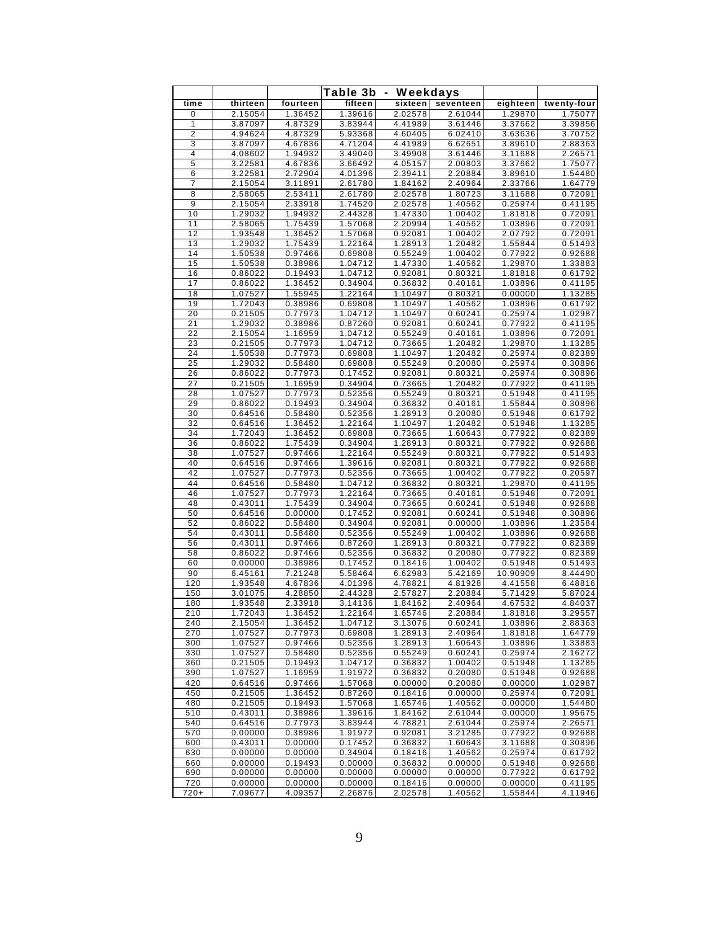|                     | Table 3b<br>Weekdays |                    |                    |                    |                    |                     |                    |
|---------------------|----------------------|--------------------|--------------------|--------------------|--------------------|---------------------|--------------------|
| time                | thirteen             | fourteen           | fifteen            | sixteen            | seventeen          | eighteen            | twenty-four        |
| 0                   | 2.15054              | 1.36452            | 1.39616            | 2.02578            | 2.61044            | 1.29870             | 1.75077            |
| 1                   | 3.87097              | 4.87329            | 3.83944            | 4.41989            | 3.61446            | 3.37662             | 3.39856            |
| $\overline{2}$<br>3 | 4.94624<br>3.87097   | 4.87329<br>4.67836 | 5.93368<br>4.71204 | 4.60405<br>4.41989 | 6.02410<br>6.62651 | 3.63636<br>3.89610  | 3.70752<br>2.88363 |
| 4                   | 4.08602              | 1.94932            | 3.49040            | 3.49908            | 3.61446            | 3.11688             | 2.26571            |
| 5                   | 3.22581              | 4.67836            | 3.66492            | 4.05157            | 2.00803            | 3.37662             | 1.75077            |
| 6                   | 3.22581              | 2.72904            | 4.01396            | 2.39411            | 2.20884            | 3.89610             | 1.54480            |
| 7                   | 2.15054              | 3.11891            | 2.61780            | 1.84162            | 2.40964            | 2.33766             | 1.64779            |
| 8                   | 2.58065              | 2.53411            | 2.61780            | 2.02578            | 1.80723            | 3.11688             | 0.72091            |
| 9<br>10             | 2.15054<br>1.29032   | 2.33918            | 1.74520            | 2.02578            | 1.40562            | 0.25974             | 0.41195            |
| 11                  | 2.58065              | 1.94932<br>1.75439 | 2.44328<br>1.57068 | 1.47330<br>2.20994 | 1.00402<br>1.40562 | 1.81818<br>1.03896  | 0.72091<br>0.72091 |
| 12                  | 1.93548              | 1.36452            | 1.57068            | 0.92081            | 1.00402            | 2.07792             | 0.72091            |
| 13                  | 1.29032              | 1.75439            | 1.22164            | 1.28913            | 1.20482            | 1.55844             | 0.51493            |
| 14                  | 1.50538              | 0.97466            | 0.69808            | 0.55249            | 1.00402            | 0.77922             | 0.92688            |
| 15                  | 1.50538              | 0.38986            | 1.04712            | 1.47330            | 1.40562            | 1.29870             | 1.33883            |
| 16                  | 0.86022              | 0.19493            | 1.04712            | 0.92081            | 0.80321            | 1.81818             | 0.61792            |
| 17<br>18            | 0.86022<br>1.07527   | 1.36452<br>1.55945 | 0.34904<br>1.22164 | 0.36832<br>1.10497 | 0.40161<br>0.80321 | 1.03896<br>0.00000  | 0.41195<br>1.13285 |
| 19                  | 1.72043              | 0.38986            | 0.69808            | 1.10497            | 1.40562            | 1.03896             | 0.61792            |
| 20                  | 0.21505              | 0.77973            | 1.04712            | 1.10497            | 0.60241            | 0.25974             | 1.02987            |
| 21                  | 1.29032              | 0.38986            | 0.87260            | 0.92081            | 0.60241            | 0.77922             | 0.41195            |
| 22                  | 2.15054              | 1.16959            | 1.04712            | 0.55249            | 0.40161            | 1.03896             | 0.72091            |
| 23                  | 0.21505              | 0.77973            | 1.04712            | 0.73665            | 1.20482            | 1.29870             | 1.13285            |
| 24                  | 1.50538              | 0.77973            | 0.69808            | 1.10497            | 1.20482            | 0.25974             | 0.82389            |
| 25<br>26            | 1.29032<br>0.86022   | 0.58480<br>0.77973 | 0.69808<br>0.17452 | 0.55249<br>0.92081 | 0.20080<br>0.80321 | 0.25974<br>0.25974  | 0.30896<br>0.30896 |
| 27                  | 0.21505              | 1.16959            | 0.34904            | 0.73665            | 1.20482            | 0.77922             | 0.41195            |
| 28                  | 1.07527              | 0.77973            | 0.52356            | 0.55249            | 0.80321            | 0.51948             | 0.41195            |
| 29                  | 0.86022              | 0.19493            | 0.34904            | 0.36832            | 0.40161            | 1.55844             | 0.30896            |
| 30                  | 0.64516              | 0.58480            | 0.52356            | 1.28913            | 0.20080            | 0.51948             | 0.61792            |
| 32                  | 0.64516              | 1.36452            | 1.22164            | 1.10497            | 1.20482            | 0.51948             | 1.13285            |
| 34<br>36            | 1.72043<br>0.86022   | 1.36452<br>1.75439 | 0.69808<br>0.34904 | 0.73665<br>1.28913 | 1.60643<br>0.80321 | 0.77922<br>0.77922  | 0.82389<br>0.92688 |
| 38                  | 1.07527              | 0.97466            | 1.22164            | 0.55249            | 0.80321            | 0.77922             | 0.51493            |
| 40                  | 0.64516              | 0.97466            | 1.39616            | 0.92081            | 0.80321            | 0.77922             | 0.92688            |
| 42                  | 1.07527              | 0.77973            | 0.52356            | 0.73665            | 1.00402            | 0.77922             | 0.20597            |
| 44                  | 0.64516              | 0.58480            | 1.04712            | 0.36832            | 0.80321            | 1.29870             | 0.41195            |
| 46                  | 1.07527              | 0.77973            | 1.22164            | 0.73665            | 0.40161            | 0.51948             | 0.72091            |
| 48<br>50            | 0.43011<br>0.64516   | 1.75439<br>0.00000 | 0.34904<br>0.17452 | 0.73665<br>0.92081 | 0.60241<br>0.60241 | 0.51948<br>0.51948  | 0.92688<br>0.30896 |
| 52                  | 0.86022              | 0.58480            | 0.34904            | 0.92081            | 0.00000            | 1.03896             | 1.23584            |
| 54                  | 0.43011              | 0.58480            | 0.52356            | 0.55249            | 1.00402            | 1.03896             | 0.92688            |
| 56                  | 0.43011              | 0.97466            | 0.87260            | 1.28913            | 0.80321            | 0.77922             | 0.82389            |
| 58                  | 0.86022              | 0.97466            | 0.52356            | 0.36832            | 0.20080            | 0.77922             | 0.82389            |
| 60                  | 0.00000              | 0.38986            | 0.17452            | 0.18416            | 1.00402            | 0.51948             | 0.51493            |
| 90<br>120           | 6.45161<br>1.93548   | 7.21248<br>4.67836 | 5.58464<br>4.01396 | 6.62983<br>4.78821 | 5.42169<br>4.81928 | 10.90909<br>4.41558 | 8.44490<br>6.48816 |
| 150                 | 3.01075              | 4.28850            | 2.44328            | 2.57827            | 2.20884            | 5.71429             | 5.87024            |
| 180                 | 1.93548              | 2.33918            | 3.14136            | 1.84162            | 2.40964            | 4.67532             | 4.84037            |
| 210                 | 1.72043              | 1.36452            | 1.22164            | 1.65746            | 2.20884            | 1.81818             | 3.29557            |
| 240                 | 2.15054              | 1.36452            | 1.04712            | 3.13076            | 0.60241            | 1.03896             | 2.88363            |
| 270                 | 1.07527              | 0.77973            | 0.69808            | 1.28913            | 2.40964            | 1.81818             | 1.64779            |
| 300<br>330          | 1.07527<br>1.07527   | 0.97466<br>0.58480 | 0.52356            | 1.28913<br>0.55249 | 1.60643<br>0.60241 | 1.03896<br>0.25974  | 1.33883<br>2.16272 |
| 360                 | 0.21505              | 0.19493            | 0.52356<br>1.04712 | 0.36832            | 1.00402            | 0.51948             | 1.13285            |
| 390                 | 1.07527              | 1.16959            | 1.91972            | 0.36832            | 0.20080            | 0.51948             | 0.92688            |
| 420                 | 0.64516              | 0.97466            | 1.57068            | 0.00000            | 0.20080            | 0.00000             | 1.02987            |
| 450                 | 0.21505              | 1.36452            | 0.87260            | 0.18416            | 0.00000            | 0.25974             | 0.72091            |
| 480                 | 0.21505              | 0.19493            | 1.57068            | 1.65746            | 1.40562            | 0.00000             | 1.54480            |
| 510                 | 0.43011              | 0.38986            | 1.39616            | 1.84162            | 2.61044            | 0.00000             | 1.95675            |
| 540<br>570          | 0.64516<br>0.00000   | 0.77973<br>0.38986 | 3.83944<br>1.91972 | 4.78821<br>0.92081 | 2.61044<br>3.21285 | 0.25974<br>0.77922  | 2.26571<br>0.92688 |
| 600                 | 0.43011              | 0.00000            | 0.17452            | 0.36832            | 1.60643            | 3.11688             | 0.30896            |
| 630                 | 0.00000              | 0.00000            | 0.34904            | 0.18416            | 1.40562            | 0.25974             | 0.61792            |
| 660                 | 0.00000              | 0.19493            | 0.00000            | 0.36832            | 0.00000            | 0.51948             | 0.92688            |
| 690                 | 0.00000              | 0.00000            | 0.00000            | 0.00000            | 0.00000            | 0.77922             | 0.61792            |
| 720                 | 0.00000              | 0.00000            | 0.00000            | 0.18416            | 0.00000            | 0.00000             | 0.41195            |
| $720+$              | 7.09677              | 4.09357            | 2.26876            | 2.02578            | 1.40562            | 1.55844             | 4.11946            |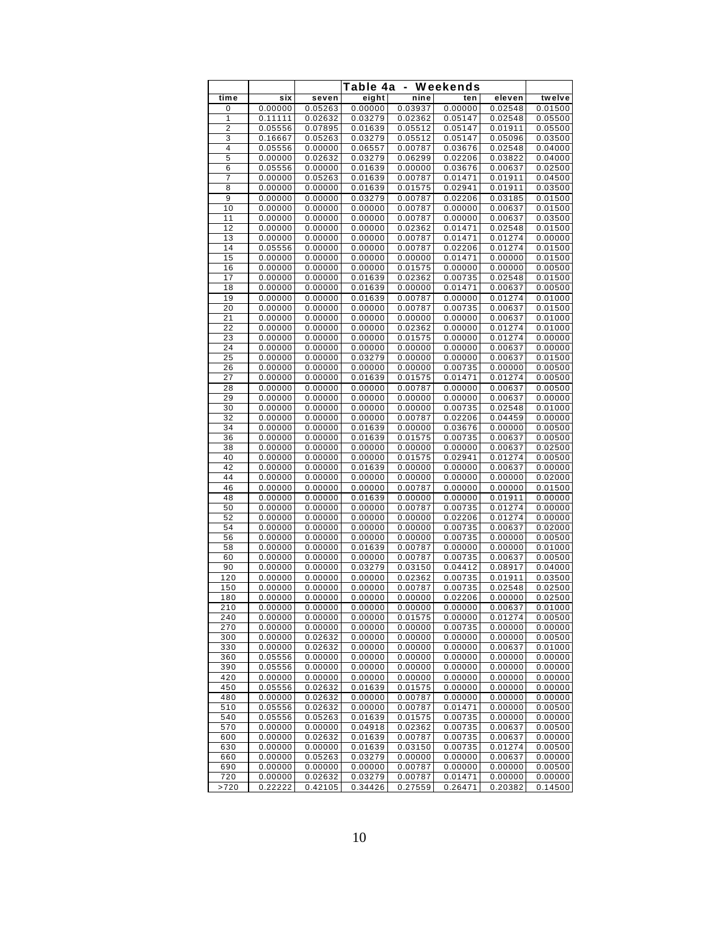|                |                    | Table 4a<br>- Weekends |                    |                    |                    |                    |                    |  |
|----------------|--------------------|------------------------|--------------------|--------------------|--------------------|--------------------|--------------------|--|
| time           | six                | seven                  | eight              | nine               | ten                | eleven             | twelve             |  |
| 0              | 0.00000            | 0.05263                | 0.00000            | 0.03937            | 0.00000            | 0.02548            | 0.01500            |  |
| 1              | 0.11111            | 0.02632                | 0.03279            | 0.02362            | 0.05147            | 0.02548            | 0.05500            |  |
| $\overline{2}$ | 0.05556            | 0.07895                | 0.01639            | 0.05512            | 0.05147            | 0.01911            | 0.05500            |  |
| 3              | 0.16667            | 0.05263                | 0.03279            | 0.05512            | 0.05147            | 0.05096            | 0.03500            |  |
| 4              | 0.05556            | 0.00000                | 0.06557            | 0.00787            | 0.03676            | 0.02548            | 0.04000            |  |
| 5              | 0.00000            | 0.02632                | 0.03279            | 0.06299            | 0.02206            | 0.03822            | 0.04000            |  |
| 6<br>7         | 0.05556<br>0.00000 | 0.00000                | 0.01639            | 0.00000<br>0.00787 | 0.03676<br>0.01471 | 0.00637<br>0.01911 | 0.02500<br>0.04500 |  |
| 8              | 0.00000            | 0.05263<br>0.00000     | 0.01639<br>0.01639 | 0.01575            | 0.02941            | 0.01911            | 0.03500            |  |
| 9              | 0.00000            | 0.00000                | 0.03279            | 0.00787            | 0.02206            | 0.03185            | 0.01500            |  |
| 10             | 0.00000            | 0.00000                | 0.00000            | 0.00787            | 0.00000            | 0.00637            | 0.01500            |  |
| 11             | 0.00000            | 0.00000                | 0.00000            | 0.00787            | 0.00000            | 0.00637            | 0.03500            |  |
| 12             | 0.00000            | 0.00000                | 0.00000            | 0.02362            | 0.01471            | 0.02548            | 0.01500            |  |
| 13             | 0.00000            | 0.00000                | 0.00000            | 0.00787            | 0.01471            | 0.01274            | 0.00000            |  |
| 14             | 0.05556            | 0.00000                | 0.00000            | 0.00787            | 0.02206            | 0.01274            | 0.01500            |  |
| 15             | 0.00000            | 0.00000                | 0.00000            | 0.00000            | 0.01471            | 0.00000            | 0.01500            |  |
| 16             | 0.00000            | 0.00000                | 0.00000            | 0.01575            | 0.00000            | 0.00000            | 0.00500            |  |
| 17<br>18       | 0.00000<br>0.00000 | 0.00000<br>0.00000     | 0.01639<br>0.01639 | 0.02362<br>0.00000 | 0.00735<br>0.01471 | 0.02548<br>0.00637 | 0.01500<br>0.00500 |  |
| 19             | 0.00000            | 0.00000                | 0.01639            | 0.00787            | 0.00000            | 0.01274            | 0.01000            |  |
| 20             | 0.00000            | 0.00000                | 0.00000            | 0.00787            | 0.00735            | 0.00637            | 0.01500            |  |
| 21             | 0.00000            | 0.00000                | 0.00000            | 0.00000            | 0.00000            | 0.00637            | 0.01000            |  |
| 22             | 0.00000            | 0.00000                | 0.00000            | 0.02362            | 0.00000            | 0.01274            | 0.01000            |  |
| 23             | 0.00000            | 0.00000                | 0.00000            | 0.01575            | 0.00000            | 0.01274            | 0.00000            |  |
| 24             | 0.00000            | 0.00000                | 0.00000            | 0.00000            | 0.00000            | 0.00637            | 0.00000            |  |
| 25             | 0.00000            | 0.00000                | 0.03279            | 0.00000            | 0.00000            | 0.00637            | 0.01500            |  |
| 26             | 0.00000            | 0.00000                | 0.00000            | 0.00000            | 0.00735            | 0.00000            | 0.00500            |  |
| 27             | 0.00000            | 0.00000                | 0.01639            | 0.01575<br>0.00787 | 0.01471<br>0.00000 | 0.01274            | 0.00500            |  |
| 28<br>29       | 0.00000<br>0.00000 | 0.00000<br>0.00000     | 0.00000<br>0.00000 | 0.00000            | 0.00000            | 0.00637<br>0.00637 | 0.00500<br>0.00000 |  |
| 30             | 0.00000            | 0.00000                | 0.00000            | 0.00000            | 0.00735            | 0.02548            | 0.01000            |  |
| 32             | 0.00000            | 0.00000                | 0.00000            | 0.00787            | 0.02206            | 0.04459            | 0.00000            |  |
| 34             | 0.00000            | 0.00000                | 0.01639            | 0.00000            | 0.03676            | 0.00000            | 0.00500            |  |
| 36             | 0.00000            | 0.00000                | 0.01639            | 0.01575            | 0.00735            | 0.00637            | 0.00500            |  |
| 38             | 0.00000            | 0.00000                | 0.00000            | 0.00000            | 0.00000            | 0.00637            | 0.02500            |  |
| 40             | 0.00000            | 0.00000                | 0.00000            | 0.01575            | 0.02941            | 0.01274            | 0.00500            |  |
| 42             | 0.00000            | 0.00000                | 0.01639            | 0.00000            | 0.00000            | 0.00637            | 0.00000            |  |
| 44<br>46       | 0.00000<br>0.00000 | 0.00000<br>0.00000     | 0.00000<br>0.00000 | 0.00000<br>0.00787 | 0.00000<br>0.00000 | 0.00000<br>0.00000 | 0.02000<br>0.01500 |  |
| 48             | 0.00000            | 0.00000                | 0.01639            | 0.00000            | 0.00000            | 0.01911            | 0.00000            |  |
| 50             | 0.00000            | 0.00000                | 0.00000            | 0.00787            | 0.00735            | 0.01274            | 0.00000            |  |
| 52             | 0.00000            | 0.00000                | 0.00000            | 0.00000            | 0.02206            | 0.01274            | 0.00000            |  |
| 54             | 0.00000            | 0.00000                | 0.00000            | 0.00000            | 0.00735            | 0.00637            | 0.02000            |  |
| 56             | 0.00000            | 0.00000                | 0.00000            | 0.00000            | 0.00735            | 0.00000            | 0.00500            |  |
| 58             | 0.00000            | 0.00000                | 0.01639            | 0.00787            | 0.00000            | 0.00000            | 0.01000            |  |
| 60             | 0.00000            | 0.00000                | 0.00000            | 0.00787            | 0.00735            | 0.00637            | 0.00500            |  |
| 90             | 0.00000            | 0.00000                | 0.03279            | 0.03150            | 0.04412            | 0.08917            | 0.04000            |  |
| 120<br>150     | 0.00000<br>0.00000 | 0.00000<br>0.00000     | 0.00000<br>0.00000 | 0.02362<br>0.00787 | 0.00735<br>0.00735 | 0.01911<br>0.02548 | 0.03500<br>0.02500 |  |
| 180            | 0.00000            | 0.00000                | 0.00000            | 0.00000            | 0.02206            | 0.00000            | 0.02500            |  |
| 210            | 0.00000            | 0.00000                | 0.00000            | 0.00000            | 0.00000            | 0.00637            | 0.01000            |  |
| 240            | 0.00000            | 0.00000                | 0.00000            | 0.01575            | 0.00000            | 0.01274            | 0.00500            |  |
| 270            | 0.00000            | 0.00000                | 0.00000            | 0.00000            | 0.00735            | 0.00000            | 0.00000            |  |
| 300            | 0.00000            | 0.02632                | 0.00000            | 0.00000            | 0.00000            | 0.00000            | 0.00500            |  |
| 330            | 0.00000            | 0.02632                | 0.00000            | 0.00000            | 0.00000            | 0.00637            | 0.01000            |  |
| 360            | 0.05556            | 0.00000                | 0.00000            | 0.00000            | 0.00000            | 0.00000            | 0.00000            |  |
| 390            | 0.05556            | 0.00000                | 0.00000            | 0.00000            | 0.00000            | 0.00000            | 0.00000            |  |
| 420<br>450     | 0.00000<br>0.05556 | 0.00000<br>0.02632     | 0.00000<br>0.01639 | 0.00000<br>0.01575 | 0.00000<br>0.00000 | 0.00000<br>0.00000 | 0.00000<br>0.00000 |  |
| 480            | 0.00000            | 0.02632                | 0.00000            | 0.00787            | 0.00000            | 0.00000            | 0.00000            |  |
| 510            | 0.05556            | 0.02632                | 0.00000            | 0.00787            | 0.01471            | 0.00000            | 0.00500            |  |
| 540            | 0.05556            | 0.05263                | 0.01639            | 0.01575            | 0.00735            | 0.00000            | 0.00000            |  |
| 570            | 0.00000            | 0.00000                | 0.04918            | 0.02362            | 0.00735            | 0.00637            | 0.00500            |  |
| 600            | 0.00000            | 0.02632                | 0.01639            | 0.00787            | 0.00735            | 0.00637            | 0.00000            |  |
| 630            | 0.00000            | 0.00000                | 0.01639            | 0.03150            | 0.00735            | 0.01274            | 0.00500            |  |
| 660            | 0.00000            | 0.05263                | 0.03279            | 0.00000            | 0.00000            | 0.00637            | 0.00000            |  |
| 690<br>720     | 0.00000<br>0.00000 | 0.00000<br>0.02632     | 0.00000<br>0.03279 | 0.00787<br>0.00787 | 0.00000<br>0.01471 | 0.00000<br>0.00000 | 0.00500<br>0.00000 |  |
| >720           | 0.22222            | 0.42105                | 0.34426            | 0.27559            | 0.26471            | 0.20382            | 0.14500            |  |
|                |                    |                        |                    |                    |                    |                    |                    |  |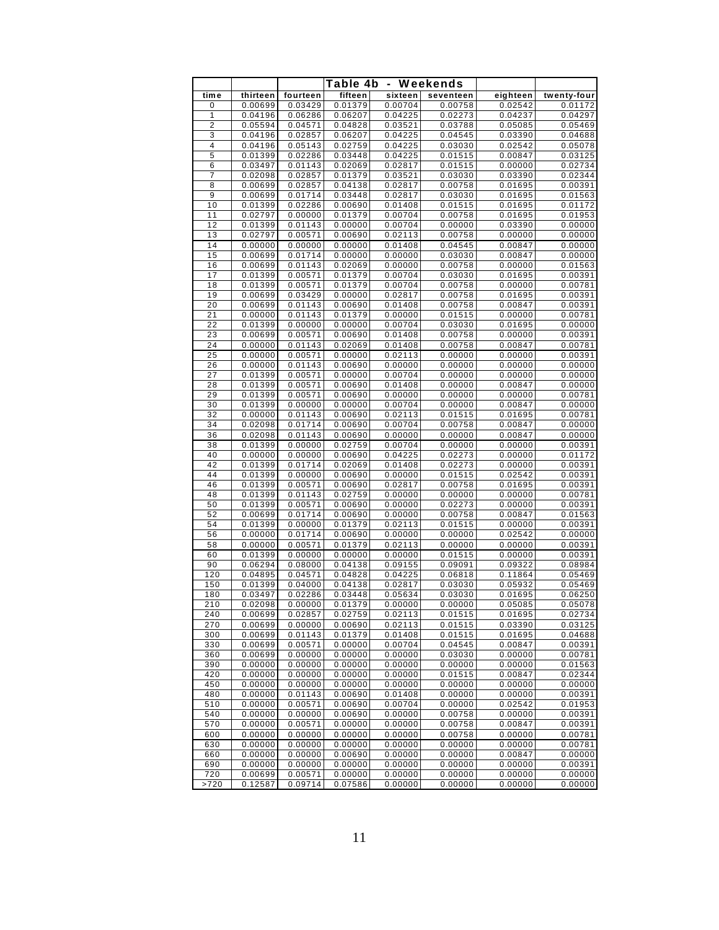|                 |                    |                    | Table 4b<br>Weekends<br>۰ |                    |                    |                    |                    |
|-----------------|--------------------|--------------------|---------------------------|--------------------|--------------------|--------------------|--------------------|
| time            | thirteen           | fourteen           | fifteen                   | sixteen            | seventeen          | eighteen           | twenty-four        |
| 0               | 0.00699            | 0.03429            | 0.01379                   | 0.00704            | 0.00758            | 0.02542            | 0.01172            |
| 1               | 0.04196            | 0.06286            | 0.06207                   | 0.04225            | 0.02273            | 0.04237            | 0.04297            |
| 2               | 0.05594            | 0.04571            | 0.04828                   | 0.03521            | 0.03788            | 0.05085            | 0.05469            |
| 3               | 0.04196            | 0.02857            | 0.06207                   | 0.04225            | 0.04545            | 0.03390            | 0.04688            |
| 4               | 0.04196            | 0.05143            | 0.02759                   | 0.04225            | 0.03030            | 0.02542            | 0.05078            |
| $\overline{5}$  | 0.01399            | 0.02286            | 0.03448                   | 0.04225            | 0.01515            | 0.00847            | 0.03125            |
| 6               | 0.03497            | 0.01143            | 0.02069                   | 0.02817            | 0.01515            | 0.00000            | 0.02734            |
| 7<br>8          | 0.02098<br>0.00699 | 0.02857<br>0.02857 | 0.01379<br>0.04138        | 0.03521<br>0.02817 | 0.03030<br>0.00758 | 0.03390<br>0.01695 | 0.02344<br>0.00391 |
| 9               | 0.00699            | 0.01714            | 0.03448                   | 0.02817            | 0.03030            | 0.01695            | 0.01563            |
| 10              | 0.01399            | 0.02286            | 0.00690                   | 0.01408            | 0.01515            | 0.01695            | 0.01172            |
| 11              | 0.02797            | 0.00000            | 0.01379                   | 0.00704            | 0.00758            | 0.01695            | 0.01953            |
| 12              | 0.01399            | 0.01143            | 0.00000                   | 0.00704            | 0.00000            | 0.03390            | 0.00000            |
| 13              | 0.02797            | 0.00571            | 0.00690                   | 0.02113            | 0.00758            | 0.00000            | 0.00000            |
| 14              | 0.00000            | 0.00000            | 0.00000                   | 0.01408            | 0.04545            | 0.00847            | 0.00000            |
| 15              | 0.00699            | 0.01714            | 0.00000                   | 0.00000            | 0.03030            | 0.00847            | 0.00000            |
| 16              | 0.00699            | 0.01143            | 0.02069                   | 0.00000            | 0.00758            | 0.00000            | 0.01563            |
| 17              | 0.01399            | 0.00571            | 0.01379                   | 0.00704            | 0.03030            | 0.01695            | 0.00391            |
| 18              | 0.01399            | 0.00571            | 0.01379                   | 0.00704            | 0.00758            | 0.00000            | 0.00781            |
| 19<br>20        | 0.00699<br>0.00699 | 0.03429<br>0.01143 | 0.00000<br>0.00690        | 0.02817<br>0.01408 | 0.00758<br>0.00758 | 0.01695<br>0.00847 | 0.00391<br>0.00391 |
| 21              | 0.00000            | 0.01143            | 0.01379                   | 0.00000            | 0.01515            | 0.00000            | 0.00781            |
| $\overline{22}$ | 0.01399            | 0.00000            | 0.00000                   | 0.00704            | 0.03030            | 0.01695            | 0.00000            |
| 23              | 0.00699            | 0.00571            | 0.00690                   | 0.01408            | 0.00758            | 0.00000            | 0.00391            |
| 24              | 0.00000            | 0.01143            | 0.02069                   | 0.01408            | 0.00758            | 0.00847            | 0.00781            |
| 25              | 0.00000            | 0.00571            | 0.00000                   | 0.02113            | 0.00000            | 0.00000            | 0.00391            |
| 26              | 0.00000            | 0.01143            | 0.00690                   | 0.00000            | 0.00000            | 0.00000            | 0.00000            |
| 27              | 0.01399            | 0.00571            | 0.00000                   | 0.00704            | 0.00000            | 0.00000            | 0.00000            |
| 28              | 0.01399            | 0.00571            | 0.00690                   | 0.01408            | 0.00000            | 0.00847            | 0.00000            |
| 29              | 0.01399            | 0.00571            | 0.00690                   | 0.00000            | 0.00000            | 0.00000            | 0.00781            |
| 30              | 0.01399            | 0.00000            | 0.00000                   | 0.00704            | 0.00000            | 0.00847            | 0.00000            |
| 32<br>34        | 0.00000<br>0.02098 | 0.01143<br>0.01714 | 0.00690<br>0.00690        | 0.02113<br>0.00704 | 0.01515<br>0.00758 | 0.01695<br>0.00847 | 0.00781<br>0.00000 |
| 36              | 0.02098            | 0.01143            | 0.00690                   | 0.00000            | 0.00000            | 0.00847            | 0.00000            |
| 38              | 0.01399            | 0.00000            | 0.02759                   | 0.00704            | 0.00000            | 0.00000            | 0.00391            |
| 40              | 0.00000            | 0.00000            | 0.00690                   | 0.04225            | 0.02273            | 0.00000            | 0.01172            |
| 42              | 0.01399            | 0.01714            | 0.02069                   | 0.01408            | 0.02273            | 0.00000            | 0.00391            |
| 44              | 0.01399            | 0.00000            | 0.00690                   | 0.00000            | 0.01515            | 0.02542            | 0.00391            |
| 46              | 0.01399            | 0.00571            | 0.00690                   | 0.02817            | 0.00758            | 0.01695            | 0.00391            |
| 48              | 0.01399            | 0.01143            | 0.02759                   | 0.00000            | 0.00000            | 0.00000            | 0.00781            |
| 50              | 0.01399            | 0.00571            | 0.00690                   | 0.00000            | 0.02273            | 0.00000            | 0.00391            |
| 52<br>54        | 0.00699<br>0.01399 | 0.01714<br>0.00000 | 0.00690<br>0.01379        | 0.00000<br>0.02113 | 0.00758<br>0.01515 | 0.00847<br>0.00000 | 0.01563<br>0.00391 |
| 56              | 0.00000            | 0.01714            | 0.00690                   | 0.00000            | 0.00000            | 0.02542            | 0.00000            |
| 58              | 0.00000            | 0.00571            | 0.01379                   | 0.02113            | 0.00000            | 0.00000            | 0.00391            |
| 60              | 0.01399            | 0.00000            | 0.00000                   | 0.00000            | 0.01515            | 0.00000            | 0.00391            |
| 90              | 0.06294            | 0.08000            | 0.04138                   | 0.09155            | 0.09091            | 0.09322            | 0.08984            |
| 120             | 0.04895            | 0.04571            | 0.04828                   | 0.04225            | 0.06818            | 0.11864            | 0.05469            |
| 150             | 0.01399            | 0.04000            | 0.04138                   | 0.02817            | 0.03030            | 0.05932            | 0.05469            |
| 180             | 0.03497            | 0.02286            | 0.03448                   | 0.05634            | 0.03030            | 0.01695            | 0.06250            |
| 210             | 0.02098            | 0.00000            | 0.01379                   | 0.00000            | 0.00000            | 0.05085            | 0.05078            |
| 240<br>270      | 0.00699<br>0.00699 | 0.02857<br>0.00000 | 0.02759<br>0.00690        | 0.02113<br>0.02113 | 0.01515<br>0.01515 | 0.01695<br>0.03390 | 0.02734<br>0.03125 |
| 300             | 0.00699            | 0.01143            | 0.01379                   | 0.01408            | 0.01515            | 0.01695            | 0.04688            |
| 330             | 0.00699            | 0.00571            | 0.00000                   | 0.00704            | 0.04545            | 0.00847            | 0.00391            |
| 360             | 0.00699            | 0.00000            | 0.00000                   | 0.00000            | 0.03030            | 0.00000            | 0.00781            |
| 390             | 0.00000            | 0.00000            | 0.00000                   | 0.00000            | 0.00000            | 0.00000            | 0.01563            |
| 420             | 0.00000            | 0.00000            | 0.00000                   | 0.00000            | 0.01515            | 0.00847            | 0.02344            |
| 450             | 0.00000            | 0.00000            | 0.00000                   | 0.00000            | 0.00000            | 0.00000            | 0.00000            |
| 480             | 0.00000            | 0.01143            | 0.00690                   | 0.01408            | 0.00000            | 0.00000            | 0.00391            |
| 510             | 0.00000            | 0.00571            | 0.00690                   | 0.00704            | 0.00000            | 0.02542            | 0.01953            |
| 540             | 0.00000            | 0.00000            | 0.00690                   | 0.00000            | 0.00758            | 0.00000            | 0.00391            |
| 570             | 0.00000            | 0.00571<br>0.00000 | 0.00000                   | 0.00000            | 0.00758            | 0.00847            | 0.00391            |
| 600<br>630      | 0.00000<br>0.00000 | 0.00000            | 0.00000<br>0.00000        | 0.00000<br>0.00000 | 0.00758<br>0.00000 | 0.00000<br>0.00000 | 0.00781<br>0.00781 |
| 660             | 0.00000            | 0.00000            | 0.00690                   | 0.00000            | 0.00000            | 0.00847            | 0.00000            |
| 690             | 0.00000            | 0.00000            | 0.00000                   | 0.00000            | 0.00000            | 0.00000            | 0.00391            |
| 720             | 0.00699            | 0.00571            | 0.00000                   | 0.00000            | 0.00000            | 0.00000            | 0.00000            |
| >720            | 0.12587            | 0.09714            | 0.07586                   | 0.00000            | 0.00000            | 0.00000            | 0.00000            |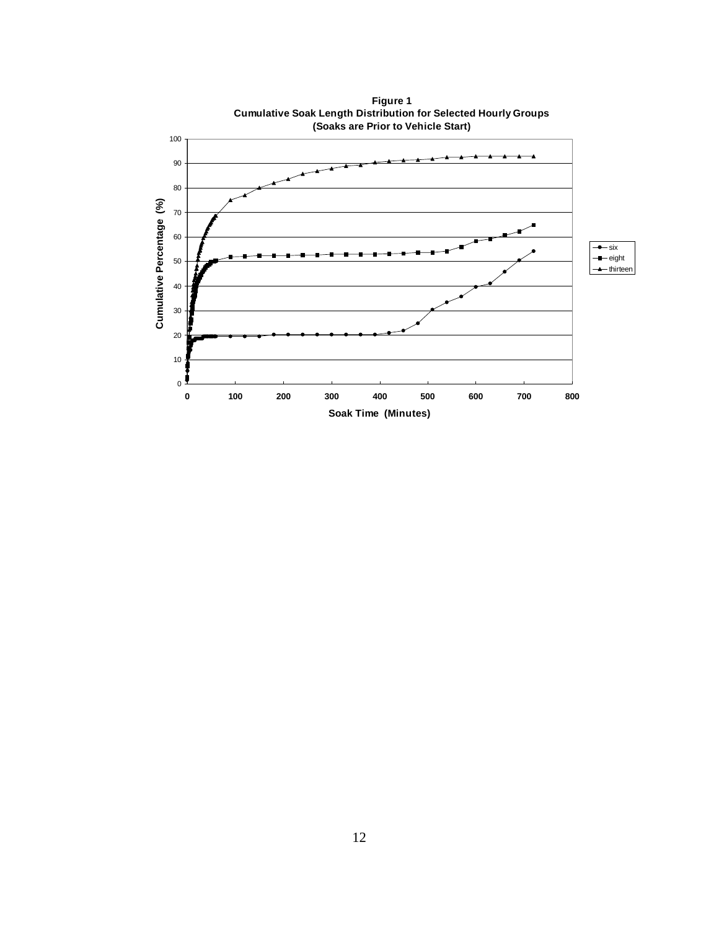

**[Figure 1](#page-2-0) Cumulative Soak Length Distribution for Selected Hourly Groups**